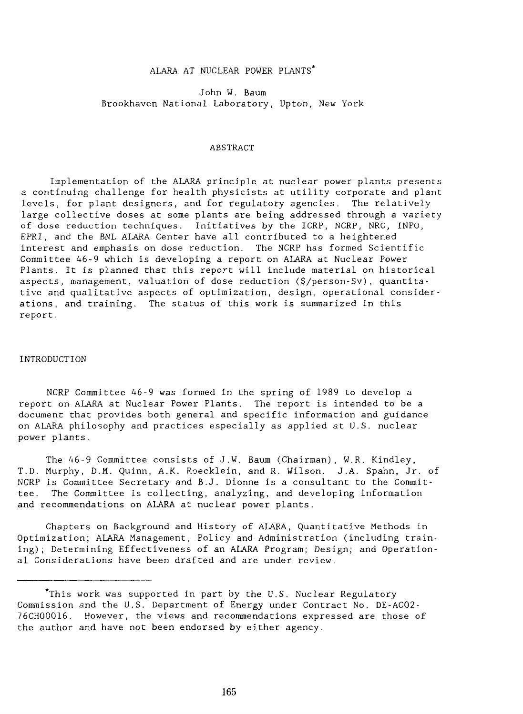## ALARA AT NUCLEAR POWER PLANTS\*

John W. Baum Brookhaven National Laboratory, Upton, New York

### ABSTRACT

Implementation of the ALARA principle at nuclear power plants presents a continuing challenge for health physicists at utility corporate and plant levels, for plant designers, and for regulatory agencies. The relatively large collective doses at some plants are being addressed through a variety of dose reduction techniques. Initiatives by the ICRP, NCRP, NRC, INPO, EPRI, and the BNL ALARA Center have all contributed to a heightened interest and emphasis on dose reduction. The NCRP has formed Scientific Committee 46-9 which is developing a report on ALARA at Nuclear Power Plants. It is planned that this report will include material on historical aspects, management, valuation of dose reduction (\$/person-Sv), quantitative and qualitative aspects of optimization, design, operational considerations, and training. The status of this work is summarized in this report.

#### INTRODUCTION

NCRP Committee 46-9 was formed in the spring of 1989 to develop a report on ALARA at Nuclear Power Plants. The report is intended to be a document that provides both general and specific information and guidance on ALARA philosophy and practices especially as applied at U.S. nuclear power plants.

The 46-9 Committee consists of J.W. Baum (Chairman), W.R. Kindley, T.D. Murphy, D.M. Quinn, A.K. Roecklein, and R. Wilson. J.A. Spahn, Jr. of NCRP is Committee Secretary and B.J. Dionne is a consultant to the Committee. The Committee is collecting, analyzing, and developing information and recommendations on ALARA ac nuclear power plants.

Chapters on Background and History of ALARA, Quantitative Methods in Optimization; ALARA Management, Policy and Administration (including training); Determining Effectiveness of an ALARA Program; Design; and Operational Considerations have been drafted and are under review.

<sup>\*</sup>This work was supported in part by the U.S. Nuclear Regulatory Commission and the U.S. Department of Energy under Contract No. DE-AC02- 76CH00016. However, the views and recommendations expressed are those of the author and have not been endorsed by either agency.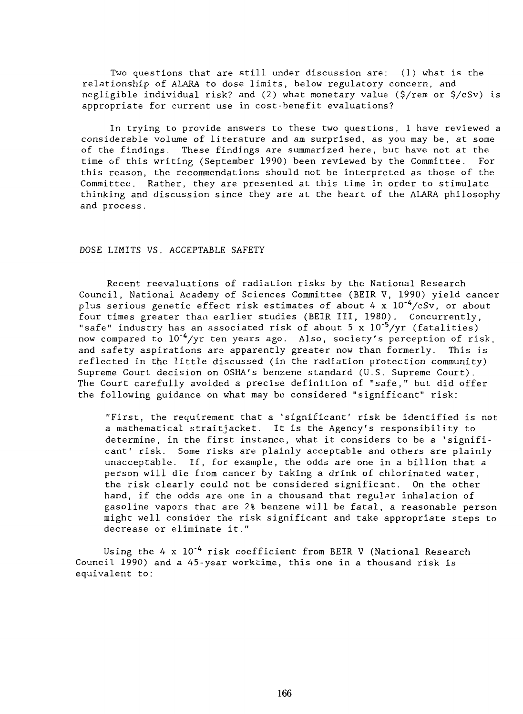Two questions that are still under discussion are: (1) what is the relationship of ALARA to dose limits, below regulatory concern, and negligible individual risk? and (2) what monetary value (\$/rem or \$/cSv) is appropriate for current use in cost-benefit evaluations?

In trying to provide answers to these two questions, I have reviewed a considerable volume of literature and am surprised, as you may be, at some of the findings. These findings are summarized here, but have not at the time of this writing (September 1990) been reviewed by the Committee. For this reason, the recommendations should not be interpreted as those of the Committee. Rather, they are presented at this time in order to stimulate thinking and discussion since they are at the heart of the ALARA philosophy and process.

DOSE LIMITS VS. ACCEPTABLE SAFETY

Recent reevaluations of radiation risks by the National Research Council, National Academy of Sciences Committee (BEIR V, 1990) yield cancer plus serious genetic effect risk estimates of about 4 x  $10^{-4}/cSv$ , or about four times greater than earlier studies (BEIR III, 1980). Concurrently, "safe" industry has an associated risk of about 5 x  $10^{-5}/yr$  (fatalities) now compared to  $10^{-4}/yr$  ten years ago. Also, society's perception of risk, and safety aspirations are apparently greater now than formerly. This is reflected in the little discussed (in the radiation protection community) Supreme Court decision on OSHA's benzene standard (U.S. Supreme Court). The Court carefully avoided a precise definition of "safe," but did offer the following guidance on what may be considered "significant" risk:

"First, the requirement that a 'significant' risk be identified is not a mathematical straitjacket. It is the Agency's responsibility to determine, in the first instance, what it considers to be a 'significant' risk. Some risks are plainly acceptable and others are plainly unacceptable. If, for example, the odds are one in a billion that a person will die from cancer by taking a drink of chlorinated water, the risk clearly could not be considered significant. On the other hand, if the odds are one in a thousand that regular inhalation of gasoline vapors that are 2% benzene will be fatal, a reasonable person might well consider the risk significant and take appropriate steps to decrease or eliminate it."

Using the 4 x  $10^{-4}$  risk coefficient from BEIR V (National Research Council 1990) and a 45-year worktime, this one in a thousand risk is equivalent to: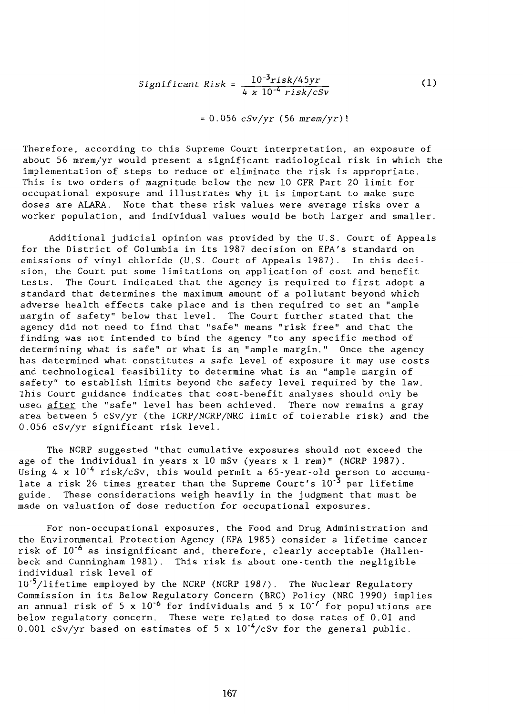$$
Significant Risk = \frac{10^{-3}risk/45yr}{4 \times 10^{-4} risk/cSv}
$$
 (1)

 $= 0.056$  cSv/yr (56 mrem/yr)!

Therefore, according to this Supreme Court interpretation, an exposure of about 56 mrem/yr would present a significant radiological risk in which the implementation of steps to reduce or eliminate the risk is appropriate. This is two orders of magnitude below the new 10 CFR Part 20 limit for occupational exposure and illustrates why it is important to make sure doses are ALARA. Note that these risk values were average risks over a worker population, and individual values would be both larger and smaller.

Additional judicial opinion was provided by the U.S. Court of Appeals for the District of Columbia in its 1987 decision on EPA's standard on emissions of vinyl chloride (U.S. Court of Appeals 1987). In this decision, the Court put some limitations on application of cost and benefit tests. The Court indicated that the agency is required to first adopt a standard that determines the maximum amount of a pollutant beyond which adverse health effects take place and is then required to set an "ample margin of safety" below that level. The Court further stated that the agency did not need to find that "safe" means "risk free" and that the finding was not intended to bind the agency "to any specific method of determining what is safe" or what is an "ample margin." Once the agency has determined what constitutes a safe level of exposure it may use costs and technological feasibility to determine what is an "ample margin of safety" to establish limits beyond the safety level required by the law. This Court guidance indicates that cost-benefit analyses should only be used after the "safe" level has been achieved. There now remains a gray area between 5 cSv/yr (the ICRP/NCRP/NRC limit of tolerable risk) and the 0.056 cSv/yr significant risk level.

The NCRP suggested "that cumulative exposures should not exceed the age of the individual in years  $x$  10 mSv (years  $x$  1 rem)" (NCRP 1987). Using 4 x  $10^{-4}$  risk/cSv, this would permit a 65-year-old person to accumulate a risk 26 times greater than the Supreme Court's  $10^{-3}$  per lifetime guide. These considerations weigh heavily in the judgment that must be made on valuation of dose reduction for occupational exposures.

For non-occupational exposures, the Food and Drug Administration and the Environmental Protection Agency (EPA 1985) consider a lifetime cancer risk of 10"<sup>6</sup> as insignificant and, therefore, clearly acceptable (Hallenbeck and Cunningham 1981). This risk is about one-tenth the negligible individual risk level of  $10^{-5}/$ lifetime employed by the NCRP (NCRP 1987). The Nuclear Regulatory Commission in its Below Regulatory Concern (BRC) Policy (NRC 1990) implies an annual risk of 5 x  $10^{-6}$  for individuals and 5 x  $10^{-7}$  for populations are below regulatory concern. These were related to dose rates of 0.01 and 0.001 cSv/yr based on estimates of 5 x  $10^{-4}/c$ Sv for the general public.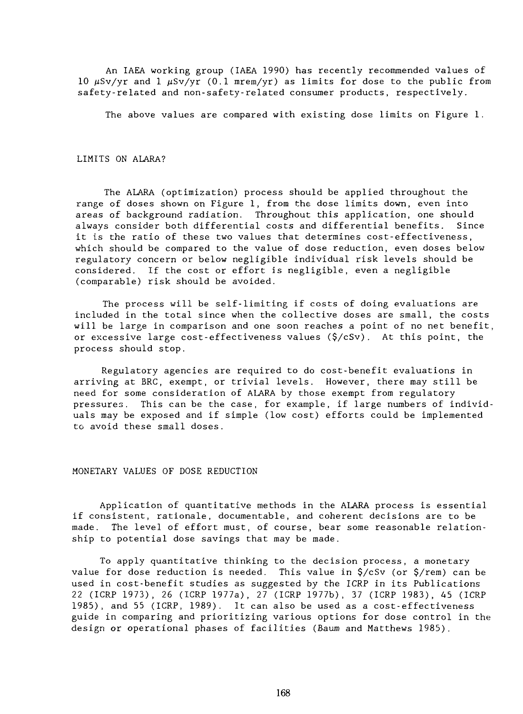An IAEA working group (IAEA 1990) has recently recommended values of 10  $\mu$ Sv/yr and 1  $\mu$ Sv/yr (0.1 mrem/yr) as limits for dose to the public from safety-related and non-safety-related consumer products, respectively.

The above values are compared with existing dose limits on Figure 1.

### LIMITS ON ALARA?

The ALARA (optimization) process should be applied throughout the range of doses shown on Figure 1, from the dose limits down, even into areas of background radiation. Throughout this application, one should always consider both differential costs and differential benefits. Since it is the ratio of these two values that determines cost-effectiveness, which should be compared to the value of dose reduction, even doses below regulatory concern or below negligible individual risk levels should be considered. If the cost or effort is negligible, even a negligible (comparable) risk should be avoided.

The process will be self-limiting if costs of doing evaluations are included in the total since when the collective doses are small, the costs will be large in comparison and one soon reaches a point of no net benefit, or excessive large cost-effectiveness values (\$/cSv). At this point, the process should stop.

Regulatory agencies are required to do cost-benefit evaluations in arriving at BRC, exempt, or trivial levels. However, there may still be need for some consideration of ALARA by those exempt from regulatory pressures. This can be the case, for example, if large numbers of individuals may be exposed and if simple (low cost) efforts could be implemented to avoid these small doses.

### MONETARY VALUES OF DOSE REDUCTION

Application of quantitative methods in the ALARA process is essential if consistent, rationale, documentable, and coherent decisions are to be made. The level of effort must, of course, bear some reasonable relationship to potential dose savings that may be made.

To apply quantitative thinking to the decision process, a monetary value for dose reduction is needed. This value in \$/cSv (or \$/rem) can be used in cost-benefit studies as suggested by the ICRP in its Publications 22 (ICRP 1973), 26 (ICRP 1977a), 27 (ICRP 1977b), 37 (ICRP 1983), 45 (ICRP 1985), and 55 (ICRP, 1989). It can also be used as a cost-effectiveness guide in comparing and prioritizing various options for dose control in the design or operational phases of facilities (Baum and Matthews 1985).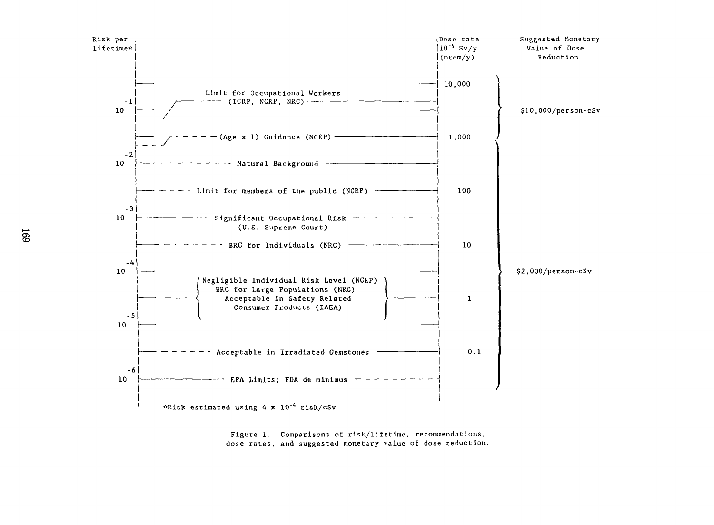

Figure 1. Comparisons of risk/lifetime, recommendations, dose rates, and suggested monetary value of dose reduction.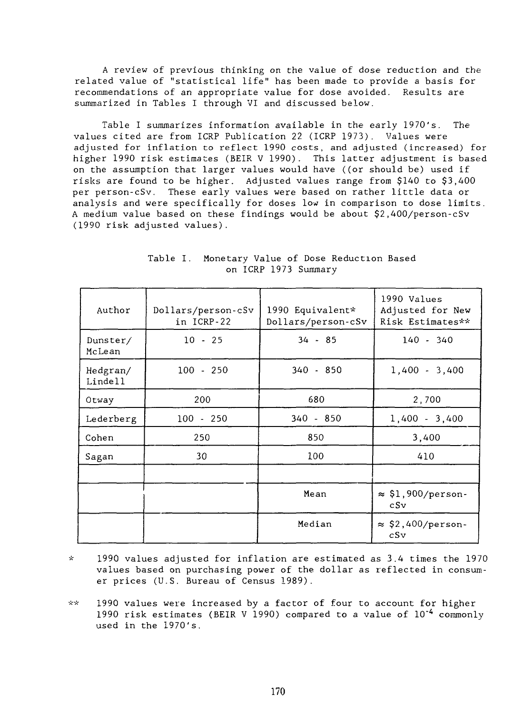A review of previous thinking on the value of dose reduction and the related value of "statistical life" has been made to provide a basis for recommendations of an appropriate value for dose avoided. Results are summarized in Tables I through VI and discussed below.

Table I summarizes information available in the early 1970's. The values cited are from ICRP Publication 22 (ICRP 1973). Values were adjusted for inflation to reflect 1990 costs, and adjusted (increased) for higher 1990 risk estimates (BEIR V 1990). This latter adjustment is based on the assumption that larger values would have ((or should be) used if risks are found to be higher. Adjusted values range from \$140 to \$3,400 per person-cSv. These early values were based on rather little data or analysis and were specifically for doses low in comparison to dose limits. A medium value based on these findings would be about \$2,400/person-cSv (1990 risk adjusted values).

| Author              | Dollars/person-cSv<br>in ICRP-22 | 1990 Equivalent*<br>Dollars/person-cSv | 1990 Values<br>Adjusted for New<br>Risk Estimates** |
|---------------------|----------------------------------|----------------------------------------|-----------------------------------------------------|
| Dunster/<br>McLean  | $10 - 25$                        | $34 - 85$                              | $140 - 340$                                         |
| Hedgran/<br>Lindell | $100 - 250$                      | $340 - 850$                            | $1,400 - 3,400$                                     |
| Otway               | 200                              | 680                                    | 2,700                                               |
| Lederberg           | $100 - 250$                      | $340 - 850$                            | $1,400 - 3,400$                                     |
| Cohen               | 250                              | 850                                    | 3,400                                               |
| Sagan               | 30                               | 100                                    | 410                                                 |
|                     |                                  | Mean                                   | $\approx$ \$1,900/person-<br>cSv                    |
|                     |                                  | Median                                 | $\approx$ \$2,400/person-<br>cSv                    |

Table I. Monetary Value of Dose Reduction Based on ICRP 1973 Summary

- \* 1990 values adjusted for inflation are estimated as 3.4 times the 1970 values based on purchasing power of the dollar as reflected in consumer prices (U.S. Bureau of Census 1989).
- \*\* 1990 values were increased by a factor of four to account for higher 1990 risk estimates (BEIR V 1990) compared to a value of 10"<sup>4</sup> commonly used in the 197O's.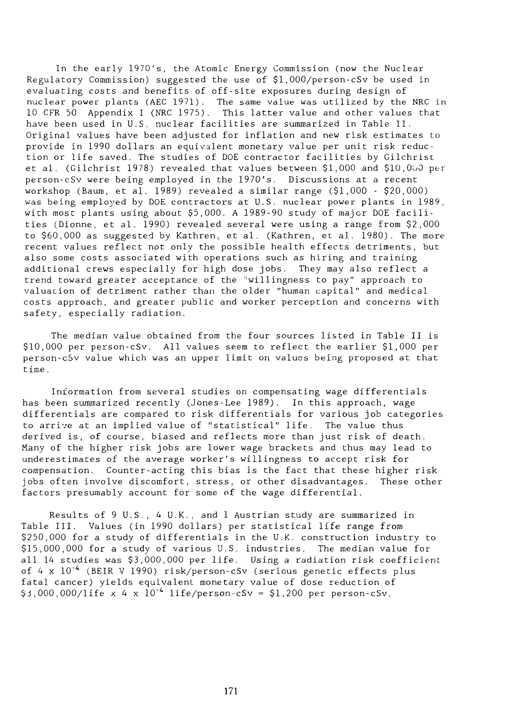In the early 197O's, the Atomic Energy Commission (now the Nuclear Regulatory Commission) suggested the use of \$1,000/person-cSv be used in evaluating costs and benefits of off-site exposures during design of nuclear power plants (AEC 1971). The same value was utilized by the NRC in 10 CFR 50 Appendix I (NRC 1975). This latter value and other values that have been used in U.S. nuclear facilities are summarized in Table II. Original values have been adjusted for inflation and new risk estimates to provide in 1990 dollars an equivalent monetary value per unit risk reduction or life saved. The studies of DOE contractor facilities by Gilchrist et al. (Gilchrist 1978) revealed that values between \$1,000 and \$10,000 per person-cSv were being employed in the 197O's. Discussions at a recent workshop (Baum, et al. 1989) revealed a similar range (\$1,000 - \$20,000) was being employed by DOE contractors at U.S. nuclear power plants in 1989, with most plants using about \$5,000. A 1989-90 study of major DOE facilities (Dionne, et al. 1990) revealed several were using a range from \$2,000 to \$60,000 as suggested by Kathren, et al. (Kathren, et al. 1980). The more recent values reflect not only the possible health effects detriments, but also some costs associated with operations such as hiring and training additional crews especially for high dose jobs. They may also reflect a trend toward greater acceptance of the "willingness to pay" approach to valuation of detriment rather than the older "human capital" and medical costs approach, and greater public and worker perception and concerns with safety, especially radiation.

The median value obtained from the four sources listed in Table II is \$10,000 per person-cSv. All values seem to reflect the earlier \$1,000 per person-cSv value which was an upper limit on values being proposed at that time .

Information from several studies on compensating wage differentials has been summarized recently (Jones-Lee 1989). In this approach, wage differentials are compared to risk differentials for various job categories to arrive at an implied value of "statistical" life. The value thus derived is, of course, biased and reflects more than just risk of death. Many of the higher risk jobs are lower wage brackets and thus may lead to underestimates of the average worker's willingness to accept risk for compensation. Counter-acting this bias is the fact that these higher risk jobs often involve discomfort, stress, or other disadvantages. These other factors presumably account for some of the wage differential.

Results of 9 U.S., 4 U.K., and 1 Austrian study are summarized in Table III. Values (in 1990 dollars) per statistical life range from \$250,000 for a study of differentials in the U.K. construction industry to \$15,000,000 for a study of various U.S. industries. The median value for all 14 studies was \$3,000,000 per life. Using a radiation risk coefficient of  $4 \times 10^{-4}$  (BEIR V 1990) risk/person-cSv (serious genetic effects plus fatal cancer) yields equivalent monetary value of dose reduction of  $$3,000,000/1if$ e x 4 x  $10^{-4}$  life/person-cSv = \$1,200 per person-cSv.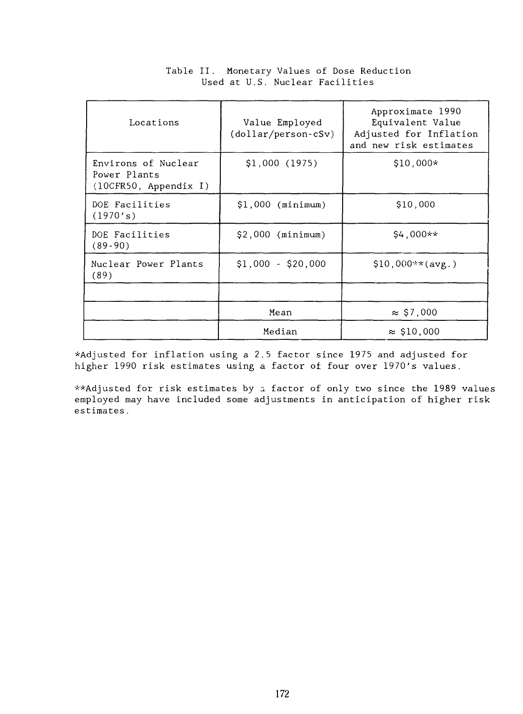| Locations                                                    | Value Employed<br>$(dollar/person-cSv)$ | Approximate 1990<br>Equivalent Value<br>Adjusted for Inflation<br>and new risk estimates |
|--------------------------------------------------------------|-----------------------------------------|------------------------------------------------------------------------------------------|
| Environs of Nuclear<br>Power Plants<br>(10CFR50, Appendix I) | \$1,000 (1975)                          | $$10,000*$                                                                               |
| DOE Facilities<br>(1970's)                                   | $$1,000$ (minimum)                      | \$10,000                                                                                 |
| DOE Facilities<br>$(89-90)$                                  | $$2,000$ (minimum)                      | $$4,000**$                                                                               |
| Nuclear Power Plants<br>(89)                                 | $$1,000 - $20,000$                      | $$10,000**(avg.)$                                                                        |
|                                                              |                                         |                                                                                          |
|                                                              | Mean                                    | $\approx$ \$7,000                                                                        |
|                                                              | Median                                  | $\approx$ \$10,000                                                                       |

## Table II. Monetary Values of Dose Reduction Used at U.S. Nuclear Facilities

\*Adjusted for inflation using a 2.5 factor since 1975 and adjusted for higher 1990 risk estimates using a factor of four over 1970's values.

\*\*Adjusted for risk estimates by a factor of only two since the 1989 values employed may have included some adjustments in anticipation of higher risk estimates.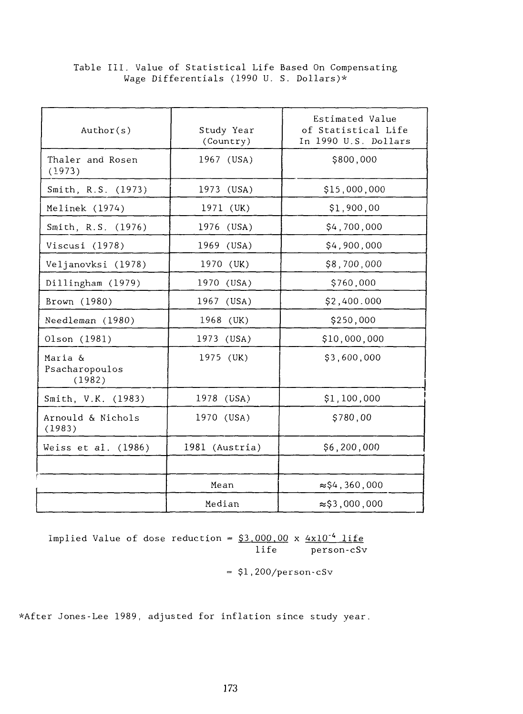# Table III. Value of Statistical Life Based On Compensating Wage Differentials (1990 U. S. Dollars)\*

| Author(s)                           | Study Year<br>(Country) | Estimated Value<br>of Statistical Life<br>In 1990 U.S. Dollars |
|-------------------------------------|-------------------------|----------------------------------------------------------------|
| Thaler and Rosen<br>(1973)          | 1967 (USA)              | \$800,000                                                      |
| Smith, R.S. (1973)                  | 1973 (USA)              | \$15,000,000                                                   |
| Melinek (1974)                      | 1971 (UK)               | \$1,900,00                                                     |
| Smith, R.S. (1976)                  | 1976 (USA)              | \$4,700,000                                                    |
| Viscusi (1978)                      | 1969 (USA)              | \$4,900,000                                                    |
| Veljanovksi (1978)                  | 1970 (UK)               | \$8,700,000                                                    |
| Dillingham (1979)                   | 1970 (USA)              | \$760,000                                                      |
| Brown (1980)                        | 1967 (USA)              | \$2,400.000                                                    |
| Needleman (1980)                    | 1968 (UK)               | \$250,000                                                      |
| Olson (1981)                        | 1973 (USA)              | \$10,000,000                                                   |
| Maria &<br>Psacharopoulos<br>(1982) | 1975 (UK)               | \$3,600,000                                                    |
| Smith, V.K. (1983)                  | 1978 (USA)              | \$1,100,000                                                    |
| Arnould & Nichols<br>(1983)         | 1970 (USA)              | \$780,00                                                       |
| Weiss et al. (1986)                 | 1981 (Austria)          | \$6,200,000                                                    |
|                                     | Mean                    | $\approx$ \$4,360,000                                          |
|                                     | Median                  | $\approx$ \$3,000,000                                          |

Implied Value of dose reduction =  $\frac{$3,000,00}{$1}$  x  $\frac{4 \times 10^{-4}}{1}$  life<br>life person-cSv  $person-cSv$ 

= \$l,200/person-cSv

\*After Jones-Lee 1989, adjusted for inflation since study year.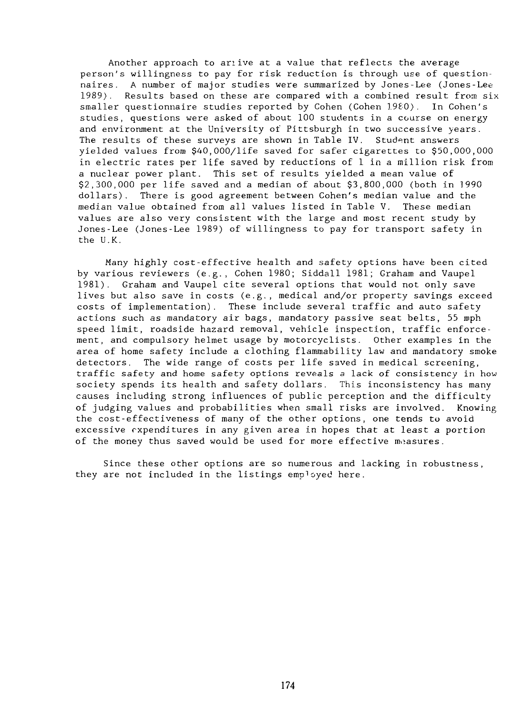Another approach to ariive at a value that reflects the average person's willingness to pay for risk reduction is through use of questionnaires. A number of major studies were summarized by Jones-Lee (Jones-Lee 1989). Results based on these are compared with a combined result from six smaller questionnaire studies reported by Cohen (Cohen 1980). In Cohen's studies, questions were asked of about 100 students in a course on energy and environment at the University of Pittsburgh in two successive years. The results of these surveys are shown in Table IV. Student answers yielded values from \$40,000/life saved for safer cigarettes to \$50,000,000 in electric rates per life saved by reductions of 1 in a million risk from a nuclear power plant. This set of results yielded a mean value of \$2,300,000 per life saved and a median of about \$3,800,000 (both in 1990 dollars). There is good agreement between Cohen's median value and the median value obtained from all values listed in Table V. These median values are also very consistent with the large and most recent study by Jones-Lee (Jones-Lee 1989) of willingness to pay for transport safety in the U.K.

Many highly cost-effective health and safety options have been cited by various reviewers (e.g., Cohen 1980; Siddall 1981; Graham and Vaupel 1981) . Graham and Vaupel cite several options that would not only save lives but also save in costs (e.g., medical and/or property savings exceed costs of implementation). These include several traffic and auto safety actions such as mandatory air bags, mandatory passive seat belts, 55 mph speed limit, roadside hazard removal, vehicle inspection, traffic enforcement, and compulsory helmet usage by motorcyclists. Other examples in the area of home safety include a clothing flammabillty law and mandatory smoke detectors. The wide range of costs per life saved in medical screening, traffic safety and home safety options reveals a lack of consistency in how society spends its health and safety dollars. This inconsistency has many causes including strong influences of public perception and the difficulty of judging values and probabilities when small risks are involved. Knowing the cost-effectiveness of many of the other options, one tends to avoid excessive expenditures in any given area in hopes that at least a portion of the money thus saved would be used for more effective measures.

Since these other options are so numerous and lacking in robustness, they are not included in the listings employed here.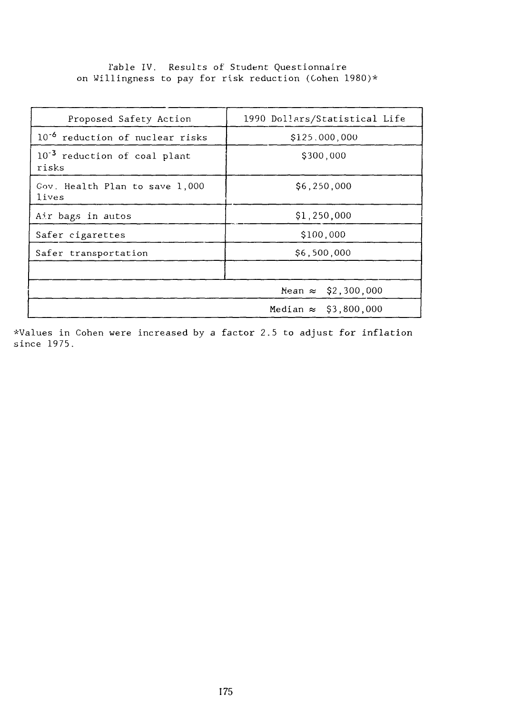# lable IV. Results of Student Questionnaire on Willingness to pay for risk reduction (Cohen 1980)\*

| Proposed Safety Action                            | 1990 Dollars/Statistical Life |  |
|---------------------------------------------------|-------------------------------|--|
| 10 <sup>-6</sup> reduction of nuclear risks       | \$125,000,000                 |  |
| 10 <sup>-3</sup> reduction of coal plant<br>risks | \$300,000                     |  |
| Gov. Health Plan to save 1,000<br>lives           | \$6,250,000                   |  |
| Air bags in autos                                 | \$1,250,000                   |  |
| Safer cigarettes                                  | \$100,000                     |  |
| Safer transportation                              | \$6,500,000                   |  |
|                                                   |                               |  |
|                                                   | Mean $\approx$ \$2,300,000    |  |
|                                                   | Median $\approx$ \$3,800,000  |  |

\*Values in Cohen were increased by a factor 2.5 to adjust for inflation since 1975.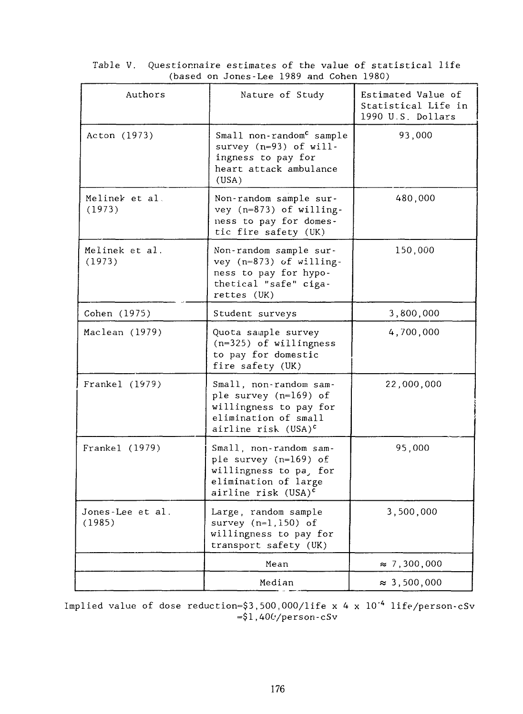| Authors                    | Nature of Study                                                                                                                      | Estimated Value of<br>Statistical Life in<br>1990 U.S. Dollars |  |
|----------------------------|--------------------------------------------------------------------------------------------------------------------------------------|----------------------------------------------------------------|--|
| Acton (1973)               | Small non-random <sup>c</sup> sample<br>survey $(n=93)$ of will-<br>ingness to pay for<br>heart attack ambulance<br>(USA)            | 93,000                                                         |  |
| Melinek et al.<br>(1973)   | Non-random sample sur-<br>vey (n=873) of willing-<br>ness to pay for domes-<br>tic fire safety (UK)                                  | 480,000                                                        |  |
| Melinek et al.<br>(1973)   | Non-random sample sur-<br>vey $(n=873)$ of willing-<br>ness to pay for hypo-<br>thetical "safe" ciga-<br>rettes (UK)                 | 150,000                                                        |  |
| Cohen (1975)               | Student surveys                                                                                                                      | 3,800,000                                                      |  |
| Maclean (1979)             | Quota sample survey<br>$(n=325)$ of willingness<br>to pay for domestic<br>fire safety (UK)                                           | 4,700,000                                                      |  |
| Frankel (1979)             | Small, non-random sam-<br>ple survey (n=169) of<br>willingness to pay for<br>elimination of small<br>airline risk (USA) <sup>c</sup> | 22,000,000                                                     |  |
| Frankel (1979)             | Small, non-random sam-<br>ple survey (n=169) of<br>willingness to pa, for<br>elimination of large<br>airline risk (USA) <sup>c</sup> | 95,000                                                         |  |
| Jones-Lee et al.<br>(1985) | Large, random sample<br>survey $(n=1, 150)$ of<br>willingness to pay for<br>transport safety (UK)                                    | 3,500,000                                                      |  |
|                            | Mean                                                                                                                                 | $\approx 7,300,000$                                            |  |
|                            | Median                                                                                                                               | $\approx 3,500,000$                                            |  |

Table V. Questionnaire estimates of the value of statistical life (based on Jones-Lee 1989 and Cohen 1980)

Implied value of dose reduction=\$3,500,000/life x 4  $\times$   $10^{-4}$  life/person-cSv =\$1,400/person-cSv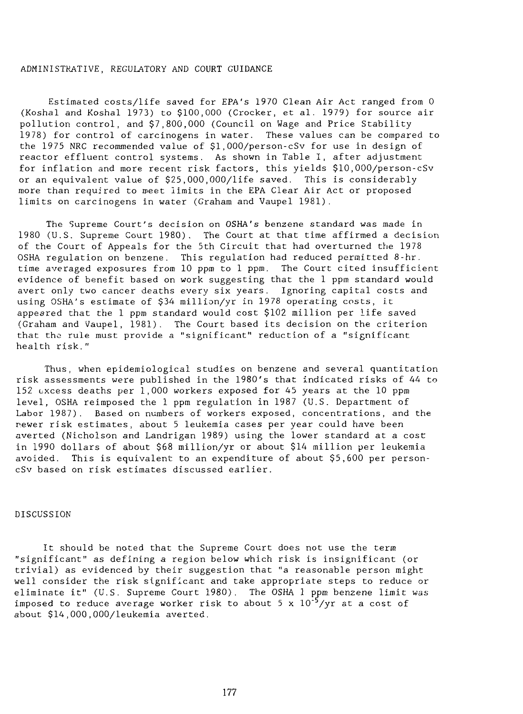### ADMINISTRATIVE, REGULATORY AND COURT GUIDANCE

Estimated costs/life saved for EPA's 1970 Clean Air Act ranged from 0 (Koshal and Koshal 1973) to \$100,000 (Crocker, et al. 1979) for source air pollution control, and \$7,800,000 (Council on Wage and Price Stability 1978) for control of carcinogens in water. These values can be compared to the 1975 NRC recommended value of \$1,000/person-cSv for use in design of reactor effluent control systems. As shown in Table I, after adjustment for inflation and more recent risk factors, this yields \$10,000/person-cSv or an equivalent value of \$25,000,000/life saved. This is considerably more than required to meet limits in the EPA Clear Air Act or proposed limits on carcinogens in water (Graham and Vaupel 1981).

The Supreme Court's decision on OSHA's benzene standard was made in 1980 (U.S. Supreme Court 1980). The Court at that time affirmed a decision of the Court of Appeals for the 5th Circuit that had overturned the 1978 OSHA regulation on benzene. This regulation had reduced permitted 8-hr, time averaged exposures from 10 ppm to 1 ppm. The Court cited insufficient evidence of benefit based on work suggesting that the 1 ppm standard would avert only two cancer deaths every six years. Ignoring capital costs and using OSHA's estimate of \$34 million/yr in 1978 operating costs, it appeared that the 1 ppm standard would cost \$102 million per life saved (Graham and Vaupel, 1981). The Court based its decision on the criterion that tho rule must provide a "significant" reduction of a "significant health risk."

Thus, when epidemiological studies on benzene and several quantitation risk assessments were published in the 1980's that indicated risks of 44 to 152 excess deaths per 1,000 workers exposed for 45 years at the 10 ppm level, OSHA reimposed the 1 ppm regulation in 1987 (U.S. Department of Labor 1987). Based on numbers of workers exposed, concentrations, and the rewer risk estimates, about 5 leukemia cases per year could have been averted (Nicholson and Landrigan 1989) using the lower standard at a cost in 1990 dollars of about \$68 million/yr or about \$14 million per leukemia avoided. This is equivalent to an expenditure of about \$5,600 per personcSv based on risk estimates discussed earlier.

#### DISCUSSION

It should be noted that the Supreme Court does not use the term "significant" as defining a region below which risk is insignificant (or trivial) as evidenced by their suggestion that "a reasonable person might well consider the risk significant and take appropriate steps to reduce or eliminate it" (U.S. Supreme Court 1980). The OSHA 1 ppm benzene limit was imposed to reduce average worker risk to about 5 x  $10^{-5}/yr$  at a cost of about \$14,000,000/leukemia averted.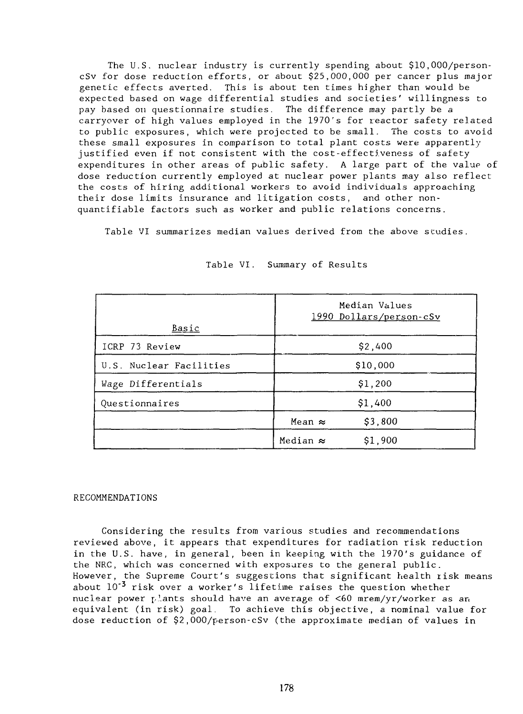The U.S. nuclear industry is currently spending about \$10,000/personcSv for dose reduction efforts, or about \$25,000,000 per cancer plus major genetic effects averted. This is about ten times higher than would be expected based on wage differential studies and societies' willingness to pay based on questionnaire studies. The difference may partly be a carryover of high values employed in the 1970's for reactor safety related to public exposures, which were projected to be small. The costs to avoid these small exposures in comparison to total plant costs were apparently justified even if not consistent with the cost-effectiveness of safety expenditures in other areas of public safety. A large part of the valup of dose reduction currently employed at nuclear power plants may also reflect the costs of hiring additional workers to avoid individuals approaching their dose limits insurance and litigation costs, and other nonquantifiable factors such as worker and public relations concerns.

Table VI summarizes median values derived from the above studies.

| <u>Basic</u>            | Median Values<br>1990 Dollars/person-cSv |  |
|-------------------------|------------------------------------------|--|
| ICRP 73 Review          | \$2,400                                  |  |
| U.S. Nuclear Facilities | \$10,000                                 |  |
| Wage Differentials      | \$1,200                                  |  |
| Questionnaires          | \$1,400                                  |  |
|                         | \$3,800<br>Mean $\approx$                |  |
|                         | Median $\approx$<br>\$1,900              |  |

## Table VI. Summary of Results

### RECOMMENDATIONS

Considering the results from various studies and recommendations reviewed above, it appears that expenditures for radiation risk reduction in the U.S. have, in general, been in keeping with the 1970's guidance of the NRC, which was concerned with exposures to the general public. However, the Supreme Court's suggestions that significant health risk means about 10<sup>-3</sup> risk over a worker's lifetime raises the question whether nuclear power  $L$ lants should have an average of <60 mrem/yr/worker as an equivalent (in risk) goal. To achieve this objective, a nominal value for dose reduction of \$2,000/person-cSv (the approximate median of values in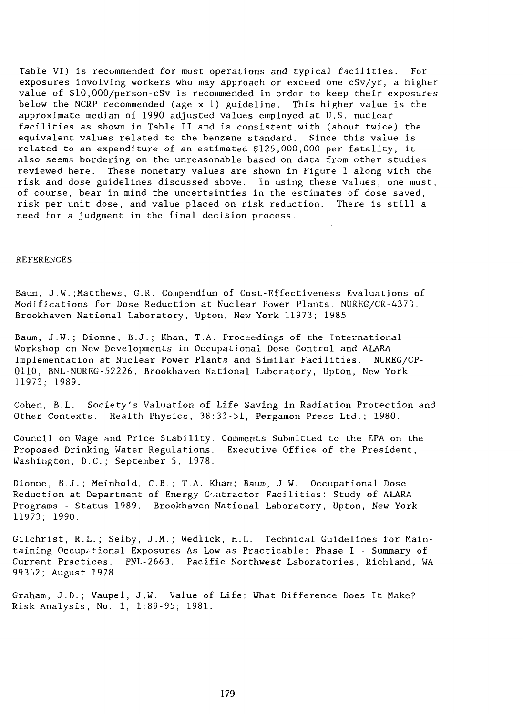Table VI) is recommended for most operations and typical facilities. For exposures involving workers who may approach or exceed one cSv/yr, a higher value of \$10,000/person-cSv is recommended in order to keep their exposures below the NCRP recommended (age  $x$  1) guideline. This higher value is the approximate median of 1990 adjusted values employed at U.S. nuclear facilities as shown in Table II and is consistent with (about twice) the equivalent values related to the benzene standard. Since this value is related to an expenditure of an estimated \$125,000,000 per fatality, it also seems bordering on the unreasonable based on data from other studies reviewed here. These monetary values are shown in Figure 1 along with the risk and dose guidelines discussed above. In using these values, one must, of course, bear in mind the uncertainties in the estimates of dose saved, risk per unit dose, and value placed on risk reduction. There is still a need for a judgment in the final decision process.

### REFERENCES

Baum, J,W.;Matthews, G.R. Compendium of Cost-Effectiveness Evaluations of Modifications for Dose Reduction at Nuclear Power Plants. NUREG/CR-4373. Brookhaven National Laboratory, Upton, New York 11973; 1985.

Baum, J.W.; Dionne, B.J.; Khan, T.A. Proceedings of the International Workshop on New Developments in Occupational Dose Control and ALARA Implementation at Nuclear Power Plants and Similar Facilities. NUREG/CP-0110, BNL-NUREG-52226. Brookhaven National Laboratory, Upton, New York 11973; 1989.

Cohen, B.L. Society's Valuation of Life Saving in Radiation Protection and Other Contexts. Health Physics, 38:33-51, Pergamon Press Ltd.; 1980.

Council on Wage and Price Stability. Comments Submitted to the EPA on the Proposed Drinking Water Regulations. Executive Office of the President, Washington, D.C.; September 5, 1978.

Dionne, B.J.; Meinhold, C.B.; T.A. Khan; Baum, J.W. Occupational Dose Reduction at Department of Energy Contractor Facilities; Study of ALARA Programs - Status 1989. Brookhaven National Laboratory, Upton, New York 11973; 1990.

Gilchrist, R.L.; Selby, J.M.; Wedlick, H.L. Technical Guidelines for Maintaining Occupational Exposures As Low as Practicable: Phase I - Summary of Current Practices. PNL-2663. Pacific Northwest Laboratories, Richland, WA 99352; August 1978.

Graham, J.D.; Vaupel, J.W. Value of Life: What Difference Does It Make? Risk Analysis, No. 1, 1:89-95; 1981.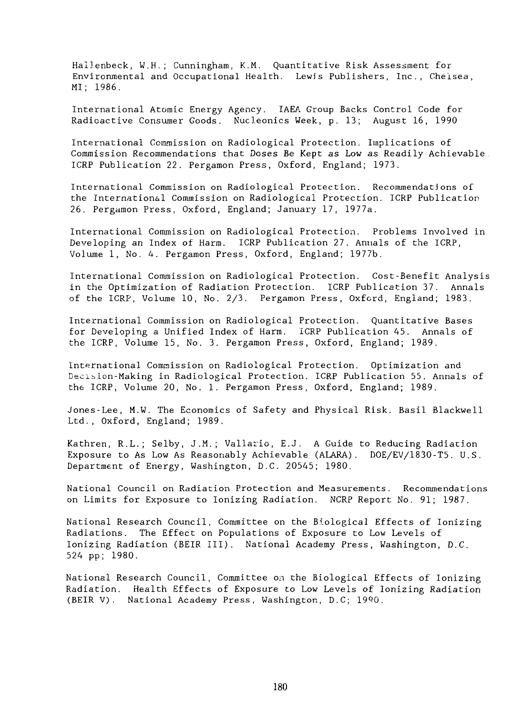Hallenbeck, W.H.; Cunningham, K.M. Quantitative Risk Assessment for Environmental and Occupational Health. Lewis Publishers, Inc., Chelsea, MI; 1986.

International Atomic Energy Agency. IAEA Group Backs Control Code for Radioactive Consumer Goods. Nucleonics Week, p. 13; August 16, 1990

International Commission on Radiological Protection. Implications of Commission Recommendations that Doses Be Kept as Low as Readily Achievable ICRP Publication 22. Pergamon Press, Oxford, England; 1973.

International Commission on Radiological Protection. Recommendations of the International Commission on Radiological Protection. ICRP Publication 26. Pergamon Press, Oxford, England; January 17, 1977a.

International Commission on Radiological Protection. Problems Involved in Developing an Index of Harm. ICRP Publication 27. Annals of the ICRP, Volume 1, No. 4. Pergamon Press, Oxford, England; 1977b.

International Commission on Radiological Protection. Cost-Benefit Analysis in the Optimization of Radiation Protection. ICRP Publication 37. Annals of the ICRP, Volume 10, No. 2/3. Pergamon Press, Oxford, England; 1983.

International Commission on Radiological Protection. Quantitative Bases for Developing a Unified Index of Harm. ICRP Publication 45. Annals of the ICRP, Volume 15, No. 3. Pergamon Press, Oxford, England; 1939.

International Commission on Radiological Protection. Optimization and Decision-Making in Radiological Protection. ICRP Publication 55. Annals of the ICRP, Volume 20, No. 1. Pergamon Press, Oxford, England; 1989.

Jones-Lee, M.W. The Economics of Safety and Physical Risk. Basil Blackwell Ltd., Oxford, England; 1989.

Kathren, R.L.; Selby, J.M.; Vallario, E.J. A Guide to Reducing Radiation Exposure to As Low As Reasonably Achievable (ALARA). DOE/EV/1830-T5. U.S. Department of Energy, Washington, D.C. 20545; 1980.

National Council on Radiation Protection and Measurements. Recommendations on Limits for Exposure to Ionizing Radiation. NCRP Report No. 91; 1987.

National Research Council, Committee on the Biological Effects of Ionizing Radiations. The Effect on Populations of Exposure to Low Levels of Ionizing Radiation (BEIR III). National Academy Press, Washington, D.C. 524 pp; 1980.

National Research Council, Committee on the Biological Effects of Ionizing Radiation. Health Effects of Exposure to Low Levels of Ionizing Radiation (BEIR V). National Academy Press, Washington, D.C; 1990.